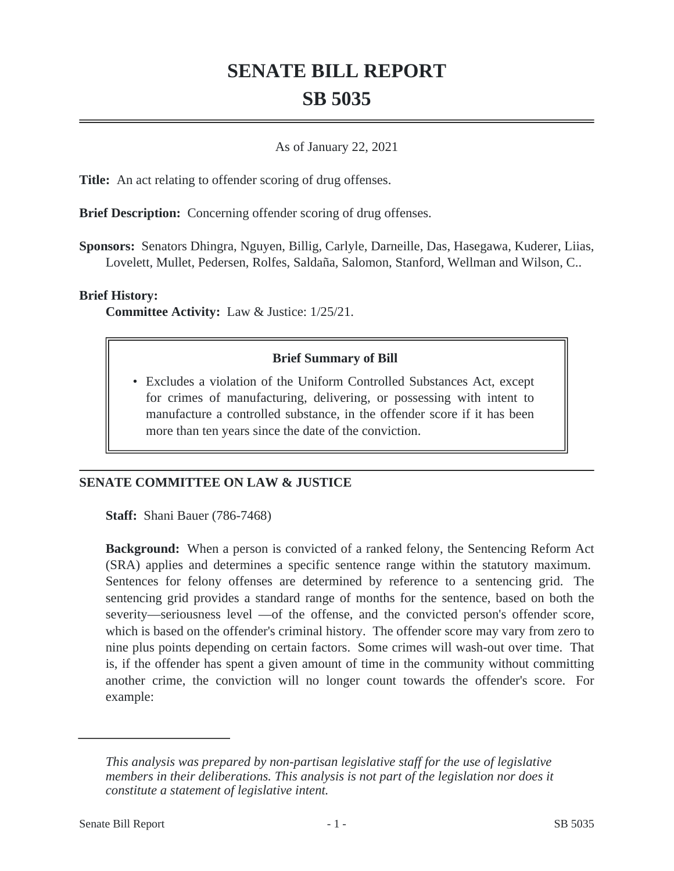# **SENATE BILL REPORT SB 5035**

### As of January 22, 2021

**Title:** An act relating to offender scoring of drug offenses.

**Brief Description:** Concerning offender scoring of drug offenses.

**Sponsors:** Senators Dhingra, Nguyen, Billig, Carlyle, Darneille, Das, Hasegawa, Kuderer, Liias, Lovelett, Mullet, Pedersen, Rolfes, Saldaña, Salomon, Stanford, Wellman and Wilson, C..

#### **Brief History:**

**Committee Activity:** Law & Justice: 1/25/21.

### **Brief Summary of Bill**

Excludes a violation of the Uniform Controlled Substances Act, except • for crimes of manufacturing, delivering, or possessing with intent to manufacture a controlled substance, in the offender score if it has been more than ten years since the date of the conviction.

## **SENATE COMMITTEE ON LAW & JUSTICE**

**Staff:** Shani Bauer (786-7468)

**Background:** When a person is convicted of a ranked felony, the Sentencing Reform Act (SRA) applies and determines a specific sentence range within the statutory maximum. Sentences for felony offenses are determined by reference to a sentencing grid. The sentencing grid provides a standard range of months for the sentence, based on both the severity—seriousness level —of the offense, and the convicted person's offender score, which is based on the offender's criminal history. The offender score may vary from zero to nine plus points depending on certain factors. Some crimes will wash-out over time. That is, if the offender has spent a given amount of time in the community without committing another crime, the conviction will no longer count towards the offender's score. For example:

*This analysis was prepared by non-partisan legislative staff for the use of legislative members in their deliberations. This analysis is not part of the legislation nor does it constitute a statement of legislative intent.*